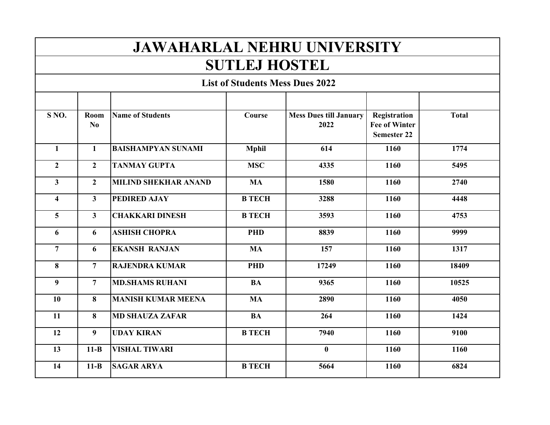## **JAWAHARLAL NEHRU UNIVERSITY**

## **SUTLEJ HOSTEL**

 **List of Students Mess Dues 2022**

| S <sub>NO</sub>         | Room<br>N <sub>0</sub> | <b>Name of Students</b>     | Course        | <b>Mess Dues till January</b><br>2022 | Registration<br><b>Fee of Winter</b><br><b>Semester 22</b> | <b>Total</b> |
|-------------------------|------------------------|-----------------------------|---------------|---------------------------------------|------------------------------------------------------------|--------------|
| $\mathbf{1}$            | $\mathbf{1}$           | <b>BAISHAMPYAN SUNAMI</b>   | <b>Mphil</b>  | 614                                   | 1160                                                       | 1774         |
| $\overline{2}$          | $\overline{2}$         | <b>TANMAY GUPTA</b>         | <b>MSC</b>    | 4335                                  | 1160                                                       | 5495         |
| $\mathbf{3}$            | $\overline{2}$         | <b>MILIND SHEKHAR ANAND</b> | <b>MA</b>     | 1580                                  | 1160                                                       | 2740         |
| $\overline{\mathbf{4}}$ | $\mathbf{3}$           | PEDIRED AJAY                | <b>B TECH</b> | 3288                                  | 1160                                                       | 4448         |
| 5                       | $\mathbf{3}$           | <b>CHAKKARI DINESH</b>      | <b>B TECH</b> | 3593                                  | 1160                                                       | 4753         |
| 6                       | 6                      | <b>ASHISH CHOPRA</b>        | <b>PHD</b>    | 8839                                  | 1160                                                       | 9999         |
| $\overline{7}$          | 6                      | <b>EKANSH RANJAN</b>        | <b>MA</b>     | 157                                   | 1160                                                       | 1317         |
| 8                       | $\overline{7}$         | <b>RAJENDRA KUMAR</b>       | <b>PHD</b>    | 17249                                 | 1160                                                       | 18409        |
| $\boldsymbol{9}$        | $\overline{7}$         | <b>MD.SHAMS RUHANI</b>      | <b>BA</b>     | 9365                                  | 1160                                                       | 10525        |
| 10                      | 8                      | <b>MANISH KUMAR MEENA</b>   | <b>MA</b>     | 2890                                  | 1160                                                       | 4050         |
| 11                      | 8                      | <b>MD SHAUZA ZAFAR</b>      | <b>BA</b>     | 264                                   | 1160                                                       | 1424         |
| 12                      | 9                      | <b>UDAY KIRAN</b>           | <b>B TECH</b> | 7940                                  | 1160                                                       | 9100         |
| 13                      | $11-B$                 | <b>VISHAL TIWARI</b>        |               | $\mathbf{0}$                          | 1160                                                       | 1160         |
| 14                      | $11-B$                 | <b>SAGAR ARYA</b>           | <b>B TECH</b> | 5664                                  | 1160                                                       | 6824         |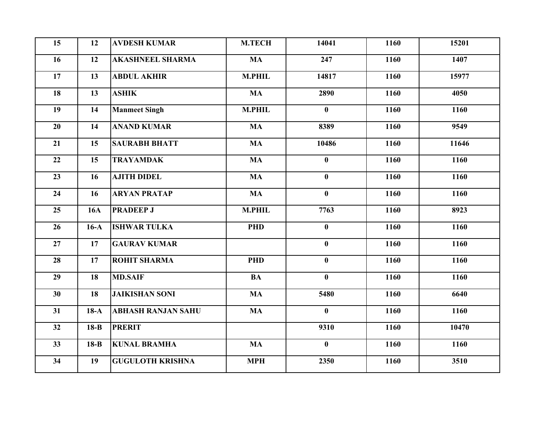| 15 | 12         | <b>AVDESH KUMAR</b>       | <b>M.TECH</b> | 14041        | 1160 | 15201 |
|----|------------|---------------------------|---------------|--------------|------|-------|
| 16 | 12         | <b>AKASHNEEL SHARMA</b>   | <b>MA</b>     | 247          | 1160 | 1407  |
| 17 | 13         | <b>ABDUL AKHIR</b>        | <b>M.PHIL</b> | 14817        | 1160 | 15977 |
| 18 | 13         | <b>ASHIK</b>              | <b>MA</b>     | 2890         | 1160 | 4050  |
| 19 | 14         | <b>Manmeet Singh</b>      | <b>M.PHIL</b> | $\mathbf{0}$ | 1160 | 1160  |
| 20 | 14         | <b>ANAND KUMAR</b>        | <b>MA</b>     | 8389         | 1160 | 9549  |
| 21 | 15         | <b>SAURABH BHATT</b>      | <b>MA</b>     | 10486        | 1160 | 11646 |
| 22 | 15         | <b>TRAYAMDAK</b>          | <b>MA</b>     | $\bf{0}$     | 1160 | 1160  |
| 23 | 16         | <b>AJITH DIDEL</b>        | <b>MA</b>     | $\bf{0}$     | 1160 | 1160  |
| 24 | 16         | <b>ARYAN PRATAP</b>       | <b>MA</b>     | $\mathbf{0}$ | 1160 | 1160  |
| 25 | <b>16A</b> | <b>PRADEEP J</b>          | <b>M.PHIL</b> | 7763         | 1160 | 8923  |
| 26 | $16-A$     | <b>ISHWAR TULKA</b>       | <b>PHD</b>    | $\bf{0}$     | 1160 | 1160  |
| 27 | 17         | <b>GAURAV KUMAR</b>       |               | $\bf{0}$     | 1160 | 1160  |
| 28 | 17         | <b>ROHIT SHARMA</b>       | <b>PHD</b>    | $\mathbf{0}$ | 1160 | 1160  |
| 29 | 18         | <b>MD.SAIF</b>            | <b>BA</b>     | $\bf{0}$     | 1160 | 1160  |
| 30 | 18         | <b>JAIKISHAN SONI</b>     | <b>MA</b>     | 5480         | 1160 | 6640  |
| 31 | $18-A$     | <b>ABHASH RANJAN SAHU</b> | <b>MA</b>     | $\bf{0}$     | 1160 | 1160  |
| 32 | $18-B$     | <b>PRERIT</b>             |               | 9310         | 1160 | 10470 |
| 33 | $18-B$     | <b>KUNAL BRAMHA</b>       | <b>MA</b>     | $\bf{0}$     | 1160 | 1160  |
| 34 | 19         | <b>GUGULOTH KRISHNA</b>   | <b>MPH</b>    | 2350         | 1160 | 3510  |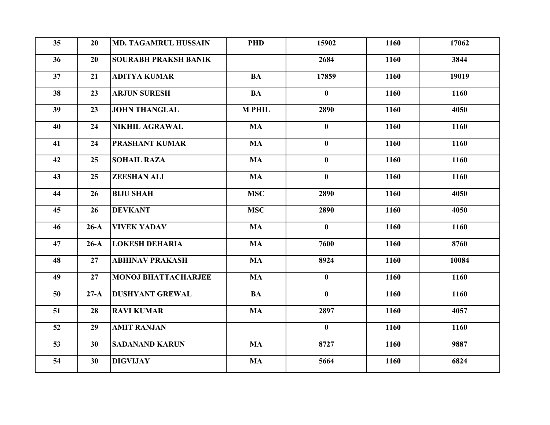| 35 | 20     | <b>MD. TAGAMRUL HUSSAIN</b> | <b>PHD</b>    | 15902        | 1160 | 17062 |
|----|--------|-----------------------------|---------------|--------------|------|-------|
| 36 | 20     | <b>SOURABH PRAKSH BANIK</b> |               | 2684         | 1160 | 3844  |
| 37 | 21     | <b>ADITYA KUMAR</b>         | <b>BA</b>     | 17859        | 1160 | 19019 |
| 38 | 23     | <b>ARJUN SURESH</b>         | <b>BA</b>     | $\mathbf{0}$ | 1160 | 1160  |
| 39 | 23     | <b>JOHN THANGLAL</b>        | <b>M PHIL</b> | 2890         | 1160 | 4050  |
| 40 | 24     | <b>NIKHIL AGRAWAL</b>       | <b>MA</b>     | $\mathbf{0}$ | 1160 | 1160  |
| 41 | 24     | <b>PRASHANT KUMAR</b>       | <b>MA</b>     | $\mathbf{0}$ | 1160 | 1160  |
| 42 | 25     | <b>SOHAIL RAZA</b>          | <b>MA</b>     | $\bf{0}$     | 1160 | 1160  |
| 43 | 25     | <b>ZEESHAN ALI</b>          | <b>MA</b>     | $\mathbf{0}$ | 1160 | 1160  |
| 44 | 26     | <b>BIJU SHAH</b>            | <b>MSC</b>    | 2890         | 1160 | 4050  |
| 45 | 26     | <b>DEVKANT</b>              | <b>MSC</b>    | 2890         | 1160 | 4050  |
| 46 | $26-A$ | <b>VIVEK YADAV</b>          | <b>MA</b>     | $\mathbf{0}$ | 1160 | 1160  |
| 47 | $26-A$ | <b>LOKESH DEHARIA</b>       | <b>MA</b>     | 7600         | 1160 | 8760  |
| 48 | 27     | <b>ABHINAV PRAKASH</b>      | <b>MA</b>     | 8924         | 1160 | 10084 |
| 49 | 27     | <b>MONOJ BHATTACHARJEE</b>  | <b>MA</b>     | $\mathbf{0}$ | 1160 | 1160  |
| 50 | $27-A$ | <b>DUSHYANT GREWAL</b>      | <b>BA</b>     | $\mathbf{0}$ | 1160 | 1160  |
| 51 | 28     | <b>RAVI KUMAR</b>           | <b>MA</b>     | 2897         | 1160 | 4057  |
| 52 | 29     | <b>AMIT RANJAN</b>          |               | $\mathbf{0}$ | 1160 | 1160  |
| 53 | 30     | <b>SADANAND KARUN</b>       | <b>MA</b>     | 8727         | 1160 | 9887  |
| 54 | 30     | <b>DIGVIJAY</b>             | <b>MA</b>     | 5664         | 1160 | 6824  |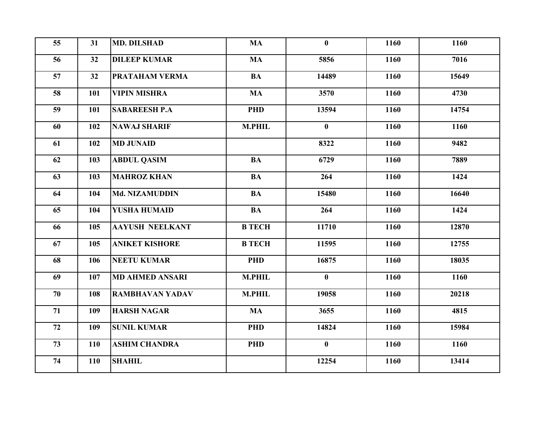| 55 | 31  | <b>MD. DILSHAD</b>     | <b>MA</b>     | $\bf{0}$     | 1160 | 1160  |
|----|-----|------------------------|---------------|--------------|------|-------|
| 56 | 32  | <b>DILEEP KUMAR</b>    | <b>MA</b>     | 5856         | 1160 | 7016  |
| 57 | 32  | <b>PRATAHAM VERMA</b>  | <b>BA</b>     | 14489        | 1160 | 15649 |
| 58 | 101 | <b>VIPIN MISHRA</b>    | <b>MA</b>     | 3570         | 1160 | 4730  |
| 59 | 101 | <b>SABAREESH P.A</b>   | <b>PHD</b>    | 13594        | 1160 | 14754 |
| 60 | 102 | <b>NAWAJ SHARIF</b>    | <b>M.PHIL</b> | $\bf{0}$     | 1160 | 1160  |
| 61 | 102 | <b>MD JUNAID</b>       |               | 8322         | 1160 | 9482  |
| 62 | 103 | <b>ABDUL QASIM</b>     | <b>BA</b>     | 6729         | 1160 | 7889  |
| 63 | 103 | <b>MAHROZ KHAN</b>     | <b>BA</b>     | 264          | 1160 | 1424  |
| 64 | 104 | Md. NIZAMUDDIN         | <b>BA</b>     | 15480        | 1160 | 16640 |
| 65 | 104 | <b>YUSHA HUMAID</b>    | <b>BA</b>     | 264          | 1160 | 1424  |
| 66 | 105 | <b>AAYUSH NEELKANT</b> | <b>B TECH</b> | 11710        | 1160 | 12870 |
| 67 | 105 | <b>ANIKET KISHORE</b>  | <b>B TECH</b> | 11595        | 1160 | 12755 |
| 68 | 106 | <b>NEETU KUMAR</b>     | <b>PHD</b>    | 16875        | 1160 | 18035 |
| 69 | 107 | <b>MD AHMED ANSARI</b> | <b>M.PHIL</b> | $\mathbf{0}$ | 1160 | 1160  |
| 70 | 108 | <b>RAMBHAVAN YADAV</b> | <b>M.PHIL</b> | 19058        | 1160 | 20218 |
| 71 | 109 | <b>HARSH NAGAR</b>     | <b>MA</b>     | 3655         | 1160 | 4815  |
| 72 | 109 | <b>SUNIL KUMAR</b>     | <b>PHD</b>    | 14824        | 1160 | 15984 |
| 73 | 110 | <b>ASHIM CHANDRA</b>   | <b>PHD</b>    | $\bf{0}$     | 1160 | 1160  |
| 74 | 110 | <b>SHAHIL</b>          |               | 12254        | 1160 | 13414 |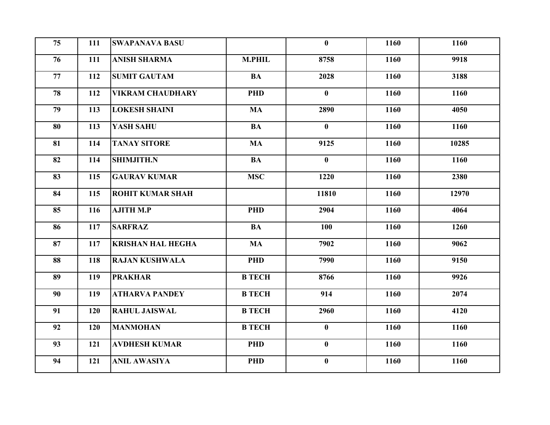| 75 | 111 | <b>SWAPANAVA BASU</b>    |               | $\bf{0}$     | 1160 | 1160  |
|----|-----|--------------------------|---------------|--------------|------|-------|
| 76 | 111 | <b>ANISH SHARMA</b>      | <b>M.PHIL</b> | 8758         | 1160 | 9918  |
| 77 | 112 | <b>SUMIT GAUTAM</b>      | <b>BA</b>     | 2028         | 1160 | 3188  |
| 78 | 112 | <b>VIKRAM CHAUDHARY</b>  | <b>PHD</b>    | $\bf{0}$     | 1160 | 1160  |
| 79 | 113 | <b>LOKESH SHAINI</b>     | <b>MA</b>     | 2890         | 1160 | 4050  |
| 80 | 113 | YASH SAHU                | <b>BA</b>     | $\mathbf{0}$ | 1160 | 1160  |
| 81 | 114 | <b>TANAY SITORE</b>      | <b>MA</b>     | 9125         | 1160 | 10285 |
| 82 | 114 | <b>SHIMJITH.N</b>        | <b>BA</b>     | $\bf{0}$     | 1160 | 1160  |
| 83 | 115 | <b>GAURAV KUMAR</b>      | <b>MSC</b>    | 1220         | 1160 | 2380  |
| 84 | 115 | <b>ROHIT KUMAR SHAH</b>  |               | 11810        | 1160 | 12970 |
| 85 | 116 | <b>AJITH M.P</b>         | <b>PHD</b>    | 2904         | 1160 | 4064  |
| 86 | 117 | <b>SARFRAZ</b>           | <b>BA</b>     | 100          | 1160 | 1260  |
| 87 | 117 | <b>KRISHAN HAL HEGHA</b> | <b>MA</b>     | 7902         | 1160 | 9062  |
| 88 | 118 | <b>RAJAN KUSHWALA</b>    | <b>PHD</b>    | 7990         | 1160 | 9150  |
| 89 | 119 | <b>PRAKHAR</b>           | <b>B TECH</b> | 8766         | 1160 | 9926  |
| 90 | 119 | <b>ATHARVA PANDEY</b>    | <b>B TECH</b> | 914          | 1160 | 2074  |
| 91 | 120 | <b>RAHUL JAISWAL</b>     | <b>B TECH</b> | 2960         | 1160 | 4120  |
| 92 | 120 | <b>MANMOHAN</b>          | <b>B TECH</b> | $\mathbf{0}$ | 1160 | 1160  |
| 93 | 121 | <b>AVDHESH KUMAR</b>     | <b>PHD</b>    | $\bf{0}$     | 1160 | 1160  |
| 94 | 121 | <b>ANIL AWASIYA</b>      | <b>PHD</b>    | $\bf{0}$     | 1160 | 1160  |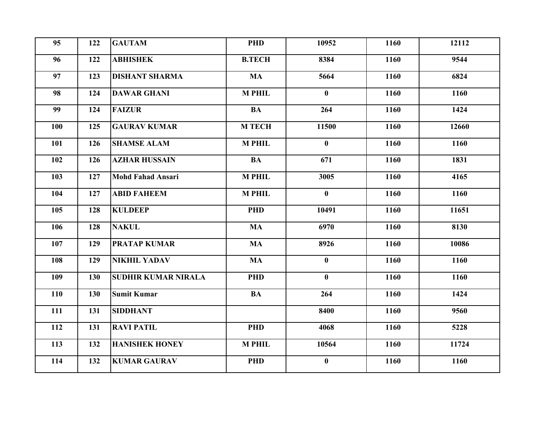| 95  | 122 | <b>GAUTAM</b>              | <b>PHD</b>    | 10952        | 1160 | 12112 |
|-----|-----|----------------------------|---------------|--------------|------|-------|
| 96  | 122 | <b>ABHISHEK</b>            | <b>B.TECH</b> | 8384         | 1160 | 9544  |
| 97  | 123 | <b>DISHANT SHARMA</b>      | <b>MA</b>     | 5664         | 1160 | 6824  |
| 98  | 124 | <b>DAWAR GHANI</b>         | <b>M PHIL</b> | $\bf{0}$     | 1160 | 1160  |
| 99  | 124 | <b>FAIZUR</b>              | <b>BA</b>     | 264          | 1160 | 1424  |
| 100 | 125 | <b>GAURAV KUMAR</b>        | <b>M TECH</b> | 11500        | 1160 | 12660 |
| 101 | 126 | <b>SHAMSE ALAM</b>         | <b>M PHIL</b> | $\bf{0}$     | 1160 | 1160  |
| 102 | 126 | <b>AZHAR HUSSAIN</b>       | <b>BA</b>     | 671          | 1160 | 1831  |
| 103 | 127 | <b>Mohd Fahad Ansari</b>   | <b>M PHIL</b> | 3005         | 1160 | 4165  |
| 104 | 127 | <b>ABID FAHEEM</b>         | <b>M PHIL</b> | $\mathbf{0}$ | 1160 | 1160  |
| 105 | 128 | <b>KULDEEP</b>             | <b>PHD</b>    | 10491        | 1160 | 11651 |
| 106 | 128 | <b>NAKUL</b>               | <b>MA</b>     | 6970         | 1160 | 8130  |
| 107 | 129 | <b>PRATAP KUMAR</b>        | <b>MA</b>     | 8926         | 1160 | 10086 |
| 108 | 129 | <b>NIKHIL YADAV</b>        | <b>MA</b>     | $\bf{0}$     | 1160 | 1160  |
| 109 | 130 | <b>SUDHIR KUMAR NIRALA</b> | <b>PHD</b>    | $\bf{0}$     | 1160 | 1160  |
| 110 | 130 | <b>Sumit Kumar</b>         | <b>BA</b>     | 264          | 1160 | 1424  |
| 111 | 131 | <b>SIDDHANT</b>            |               | 8400         | 1160 | 9560  |
| 112 | 131 | <b>RAVI PATIL</b>          | <b>PHD</b>    | 4068         | 1160 | 5228  |
| 113 | 132 | <b>HANISHEK HONEY</b>      | <b>M PHIL</b> | 10564        | 1160 | 11724 |
| 114 | 132 | <b>KUMAR GAURAV</b>        | <b>PHD</b>    | $\bf{0}$     | 1160 | 1160  |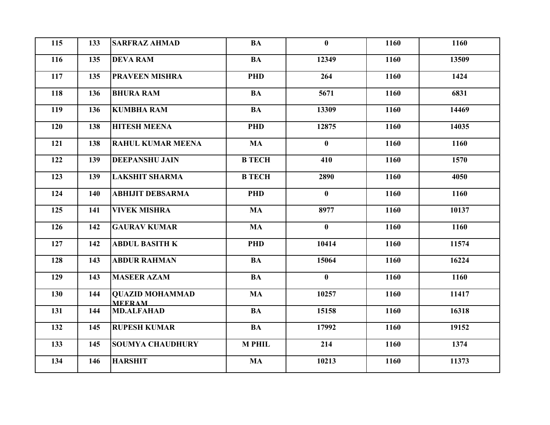| 115 | 133 | <b>SARFRAZ AHMAD</b>                    | <b>BA</b>     | $\bf{0}$     | 1160 | 1160  |
|-----|-----|-----------------------------------------|---------------|--------------|------|-------|
| 116 | 135 | <b>DEVA RAM</b>                         | <b>BA</b>     | 12349        | 1160 | 13509 |
| 117 | 135 | <b>PRAVEEN MISHRA</b>                   | <b>PHD</b>    | 264          | 1160 | 1424  |
| 118 | 136 | <b>BHURA RAM</b>                        | <b>BA</b>     | 5671         | 1160 | 6831  |
| 119 | 136 | <b>KUMBHA RAM</b>                       | <b>BA</b>     | 13309        | 1160 | 14469 |
| 120 | 138 | <b>HITESH MEENA</b>                     | <b>PHD</b>    | 12875        | 1160 | 14035 |
| 121 | 138 | <b>RAHUL KUMAR MEENA</b>                | <b>MA</b>     | $\mathbf{0}$ | 1160 | 1160  |
| 122 | 139 | <b>DEEPANSHU JAIN</b>                   | <b>B TECH</b> | 410          | 1160 | 1570  |
| 123 | 139 | <b>LAKSHIT SHARMA</b>                   | <b>B TECH</b> | 2890         | 1160 | 4050  |
| 124 | 140 | <b>ABHIJIT DEBSARMA</b>                 | <b>PHD</b>    | $\bf{0}$     | 1160 | 1160  |
| 125 | 141 | <b>VIVEK MISHRA</b>                     | <b>MA</b>     | 8977         | 1160 | 10137 |
| 126 | 142 | <b>GAURAV KUMAR</b>                     | <b>MA</b>     | $\mathbf{0}$ | 1160 | 1160  |
| 127 | 142 | <b>ABDUL BASITH K</b>                   | <b>PHD</b>    | 10414        | 1160 | 11574 |
| 128 | 143 | <b>ABDUR RAHMAN</b>                     | <b>BA</b>     | 15064        | 1160 | 16224 |
| 129 | 143 | <b>MASEER AZAM</b>                      | <b>BA</b>     | $\mathbf{0}$ | 1160 | 1160  |
| 130 | 144 | <b>QUAZID MOHAMMAD</b><br><b>MEERAM</b> | <b>MA</b>     | 10257        | 1160 | 11417 |
| 131 | 144 | <b>MD.ALFAHAD</b>                       | <b>BA</b>     | 15158        | 1160 | 16318 |
| 132 | 145 | <b>RUPESH KUMAR</b>                     | <b>BA</b>     | 17992        | 1160 | 19152 |
| 133 | 145 | <b>SOUMYA CHAUDHURY</b>                 | <b>M PHIL</b> | 214          | 1160 | 1374  |
| 134 | 146 | <b>HARSHIT</b>                          | <b>MA</b>     | 10213        | 1160 | 11373 |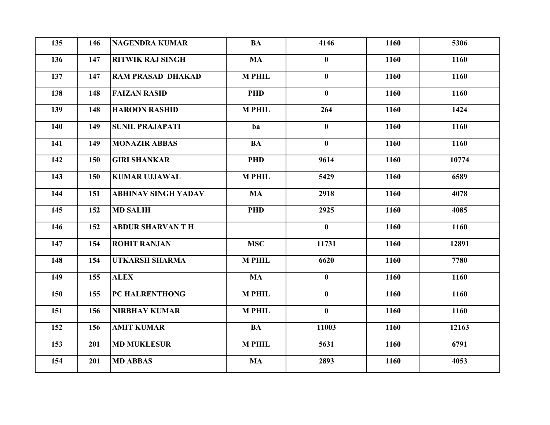| 135 | 146 | <b>NAGENDRA KUMAR</b>      | <b>BA</b>     | 4146         | 1160 | 5306  |
|-----|-----|----------------------------|---------------|--------------|------|-------|
| 136 | 147 | <b>RITWIK RAJ SINGH</b>    | <b>MA</b>     | $\bf{0}$     | 1160 | 1160  |
| 137 | 147 | <b>RAM PRASAD DHAKAD</b>   | <b>M PHIL</b> | $\mathbf{0}$ | 1160 | 1160  |
| 138 | 148 | <b>FAIZAN RASID</b>        | <b>PHD</b>    | $\mathbf{0}$ | 1160 | 1160  |
| 139 | 148 | <b>HAROON RASHID</b>       | <b>M PHIL</b> | 264          | 1160 | 1424  |
| 140 | 149 | <b>SUNIL PRAJAPATI</b>     | ba            | $\bf{0}$     | 1160 | 1160  |
| 141 | 149 | <b>MONAZIR ABBAS</b>       | <b>BA</b>     | $\mathbf{0}$ | 1160 | 1160  |
| 142 | 150 | <b>GIRI SHANKAR</b>        | <b>PHD</b>    | 9614         | 1160 | 10774 |
| 143 | 150 | <b>KUMAR UJJAWAL</b>       | <b>M PHIL</b> | 5429         | 1160 | 6589  |
| 144 | 151 | <b>ABHINAV SINGH YADAV</b> | <b>MA</b>     | 2918         | 1160 | 4078  |
| 145 | 152 | <b>MD SALIH</b>            | <b>PHD</b>    | 2925         | 1160 | 4085  |
| 146 | 152 | <b>ABDUR SHARVAN T H</b>   |               | $\mathbf{0}$ | 1160 | 1160  |
| 147 | 154 | <b>ROHIT RANJAN</b>        | <b>MSC</b>    | 11731        | 1160 | 12891 |
| 148 | 154 | <b>UTKARSH SHARMA</b>      | <b>M PHIL</b> | 6620         | 1160 | 7780  |
| 149 | 155 | <b>ALEX</b>                | <b>MA</b>     | $\mathbf{0}$ | 1160 | 1160  |
| 150 | 155 | PC HALRENTHONG             | <b>M PHIL</b> | $\bf{0}$     | 1160 | 1160  |
| 151 | 156 | <b>NIRBHAY KUMAR</b>       | <b>M PHIL</b> | $\bf{0}$     | 1160 | 1160  |
| 152 | 156 | <b>AMIT KUMAR</b>          | <b>BA</b>     | 11003        | 1160 | 12163 |
| 153 | 201 | <b>MD MUKLESUR</b>         | <b>M PHIL</b> | 5631         | 1160 | 6791  |
| 154 | 201 | <b>MD ABBAS</b>            | <b>MA</b>     | 2893         | 1160 | 4053  |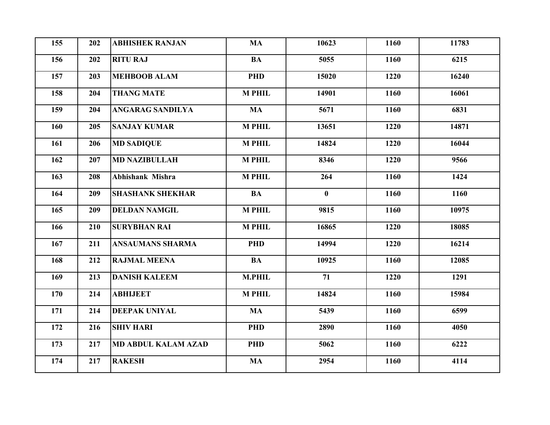| 155 | 202 | <b>ABHISHEK RANJAN</b>     | <b>MA</b>     | 10623    | 1160 | 11783 |
|-----|-----|----------------------------|---------------|----------|------|-------|
| 156 | 202 | <b>RITU RAJ</b>            | <b>BA</b>     | 5055     | 1160 | 6215  |
| 157 | 203 | <b>MEHBOOB ALAM</b>        | <b>PHD</b>    | 15020    | 1220 | 16240 |
| 158 | 204 | <b>THANG MATE</b>          | <b>M PHIL</b> | 14901    | 1160 | 16061 |
| 159 | 204 | <b>ANGARAG SANDILYA</b>    | <b>MA</b>     | 5671     | 1160 | 6831  |
| 160 | 205 | <b>SANJAY KUMAR</b>        | <b>M PHIL</b> | 13651    | 1220 | 14871 |
| 161 | 206 | <b>MD SADIQUE</b>          | <b>M PHIL</b> | 14824    | 1220 | 16044 |
| 162 | 207 | <b>MD NAZIBULLAH</b>       | <b>M PHIL</b> | 8346     | 1220 | 9566  |
| 163 | 208 | Abhishank Mishra           | <b>M PHIL</b> | 264      | 1160 | 1424  |
| 164 | 209 | <b>SHASHANK SHEKHAR</b>    | <b>BA</b>     | $\bf{0}$ | 1160 | 1160  |
| 165 | 209 | <b>DELDAN NAMGIL</b>       | <b>M PHIL</b> | 9815     | 1160 | 10975 |
| 166 | 210 | <b>SURYBHAN RAI</b>        | <b>M PHIL</b> | 16865    | 1220 | 18085 |
| 167 | 211 | <b>ANSAUMANS SHARMA</b>    | <b>PHD</b>    | 14994    | 1220 | 16214 |
| 168 | 212 | <b>RAJMAL MEENA</b>        | <b>BA</b>     | 10925    | 1160 | 12085 |
| 169 | 213 | <b>DANISH KALEEM</b>       | <b>M.PHIL</b> | 71       | 1220 | 1291  |
| 170 | 214 | <b>ABHIJEET</b>            | <b>M PHIL</b> | 14824    | 1160 | 15984 |
| 171 | 214 | <b>DEEPAK UNIYAL</b>       | <b>MA</b>     | 5439     | 1160 | 6599  |
| 172 | 216 | <b>SHIV HARI</b>           | <b>PHD</b>    | 2890     | 1160 | 4050  |
| 173 | 217 | <b>MD ABDUL KALAM AZAD</b> | <b>PHD</b>    | 5062     | 1160 | 6222  |
| 174 | 217 | <b>RAKESH</b>              | <b>MA</b>     | 2954     | 1160 | 4114  |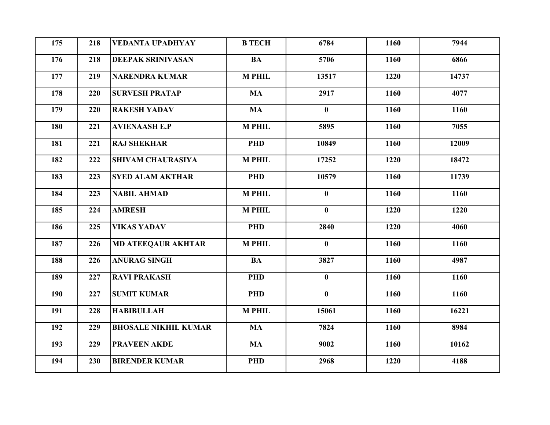| 175 | 218 | <b>VEDANTA UPADHYAY</b>     | <b>B TECH</b> | 6784         | 1160 | 7944  |
|-----|-----|-----------------------------|---------------|--------------|------|-------|
| 176 | 218 | <b>DEEPAK SRINIVASAN</b>    | <b>BA</b>     | 5706         | 1160 | 6866  |
| 177 | 219 | <b>NARENDRA KUMAR</b>       | <b>M PHIL</b> | 13517        | 1220 | 14737 |
| 178 | 220 | <b>SURVESH PRATAP</b>       | <b>MA</b>     | 2917         | 1160 | 4077  |
| 179 | 220 | <b>RAKESH YADAV</b>         | <b>MA</b>     | $\mathbf{0}$ | 1160 | 1160  |
| 180 | 221 | <b>AVIENAASH E.P</b>        | <b>M PHIL</b> | 5895         | 1160 | 7055  |
| 181 | 221 | <b>RAJ SHEKHAR</b>          | <b>PHD</b>    | 10849        | 1160 | 12009 |
| 182 | 222 | <b>SHIVAM CHAURASIYA</b>    | <b>M PHIL</b> | 17252        | 1220 | 18472 |
| 183 | 223 | <b>SYED ALAM AKTHAR</b>     | <b>PHD</b>    | 10579        | 1160 | 11739 |
| 184 | 223 | <b>NABIL AHMAD</b>          | <b>M PHIL</b> | $\bf{0}$     | 1160 | 1160  |
| 185 | 224 | <b>AMRESH</b>               | <b>M PHIL</b> | $\mathbf{0}$ | 1220 | 1220  |
| 186 | 225 | <b>VIKAS YADAV</b>          | <b>PHD</b>    | 2840         | 1220 | 4060  |
| 187 | 226 | <b>MD ATEEQAUR AKHTAR</b>   | <b>M PHIL</b> | $\bf{0}$     | 1160 | 1160  |
| 188 | 226 | <b>ANURAG SINGH</b>         | <b>BA</b>     | 3827         | 1160 | 4987  |
| 189 | 227 | <b>RAVI PRAKASH</b>         | <b>PHD</b>    | $\bf{0}$     | 1160 | 1160  |
| 190 | 227 | <b>SUMIT KUMAR</b>          | <b>PHD</b>    | $\bf{0}$     | 1160 | 1160  |
| 191 | 228 | <b>HABIBULLAH</b>           | <b>M PHIL</b> | 15061        | 1160 | 16221 |
| 192 | 229 | <b>BHOSALE NIKHIL KUMAR</b> | <b>MA</b>     | 7824         | 1160 | 8984  |
| 193 | 229 | <b>PRAVEEN AKDE</b>         | <b>MA</b>     | 9002         | 1160 | 10162 |
| 194 | 230 | <b>BIRENDER KUMAR</b>       | <b>PHD</b>    | 2968         | 1220 | 4188  |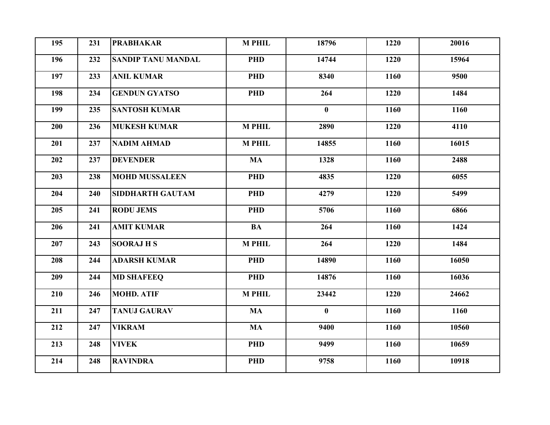| 195 | 231 | <b>PRABHAKAR</b>          | <b>M PHIL</b> | 18796        | 1220 | 20016 |
|-----|-----|---------------------------|---------------|--------------|------|-------|
| 196 | 232 | <b>SANDIP TANU MANDAL</b> | <b>PHD</b>    | 14744        | 1220 | 15964 |
| 197 | 233 | <b>ANIL KUMAR</b>         | <b>PHD</b>    | 8340         | 1160 | 9500  |
| 198 | 234 | <b>GENDUN GYATSO</b>      | <b>PHD</b>    | 264          | 1220 | 1484  |
| 199 | 235 | <b>SANTOSH KUMAR</b>      |               | $\bf{0}$     | 1160 | 1160  |
| 200 | 236 | <b>MUKESH KUMAR</b>       | <b>M PHIL</b> | 2890         | 1220 | 4110  |
| 201 | 237 | <b>NADIM AHMAD</b>        | <b>M PHIL</b> | 14855        | 1160 | 16015 |
| 202 | 237 | <b>DEVENDER</b>           | <b>MA</b>     | 1328         | 1160 | 2488  |
| 203 | 238 | <b>MOHD MUSSALEEN</b>     | <b>PHD</b>    | 4835         | 1220 | 6055  |
| 204 | 240 | <b>SIDDHARTH GAUTAM</b>   | <b>PHD</b>    | 4279         | 1220 | 5499  |
| 205 | 241 | <b>RODU JEMS</b>          | <b>PHD</b>    | 5706         | 1160 | 6866  |
| 206 | 241 | <b>AMIT KUMAR</b>         | <b>BA</b>     | 264          | 1160 | 1424  |
| 207 | 243 | <b>SOORAJHS</b>           | <b>M PHIL</b> | 264          | 1220 | 1484  |
| 208 | 244 | <b>ADARSH KUMAR</b>       | <b>PHD</b>    | 14890        | 1160 | 16050 |
| 209 | 244 | <b>MD SHAFEEQ</b>         | <b>PHD</b>    | 14876        | 1160 | 16036 |
| 210 | 246 | <b>MOHD. ATIF</b>         | <b>M PHIL</b> | 23442        | 1220 | 24662 |
| 211 | 247 | <b>TANUJ GAURAV</b>       | <b>MA</b>     | $\mathbf{0}$ | 1160 | 1160  |
| 212 | 247 | <b>VIKRAM</b>             | <b>MA</b>     | 9400         | 1160 | 10560 |
| 213 | 248 | <b>VIVEK</b>              | <b>PHD</b>    | 9499         | 1160 | 10659 |
| 214 | 248 | <b>RAVINDRA</b>           | <b>PHD</b>    | 9758         | 1160 | 10918 |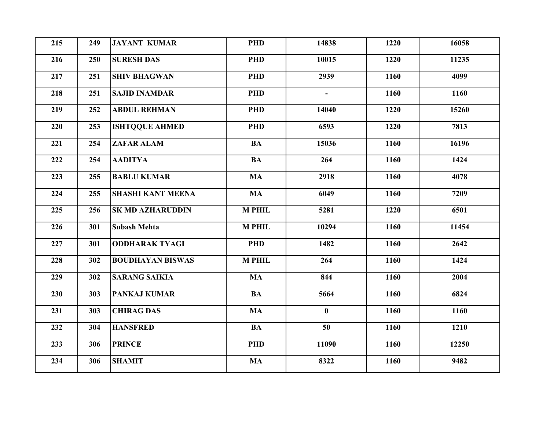| 215 | 249 | <b>JAYANT KUMAR</b>      | <b>PHD</b>    | 14838          | 1220 | 16058 |
|-----|-----|--------------------------|---------------|----------------|------|-------|
| 216 | 250 | <b>SURESH DAS</b>        | <b>PHD</b>    | 10015          | 1220 | 11235 |
| 217 | 251 | <b>SHIV BHAGWAN</b>      | <b>PHD</b>    | 2939           | 1160 | 4099  |
| 218 | 251 | <b>SAJID INAMDAR</b>     | <b>PHD</b>    | $\blacksquare$ | 1160 | 1160  |
| 219 | 252 | <b>ABDUL REHMAN</b>      | <b>PHD</b>    | 14040          | 1220 | 15260 |
| 220 | 253 | <b>ISHTQQUE AHMED</b>    | <b>PHD</b>    | 6593           | 1220 | 7813  |
| 221 | 254 | <b>ZAFAR ALAM</b>        | <b>BA</b>     | 15036          | 1160 | 16196 |
| 222 | 254 | <b>AADITYA</b>           | <b>BA</b>     | 264            | 1160 | 1424  |
| 223 | 255 | <b>BABLU KUMAR</b>       | <b>MA</b>     | 2918           | 1160 | 4078  |
| 224 | 255 | <b>SHASHI KANT MEENA</b> | <b>MA</b>     | 6049           | 1160 | 7209  |
| 225 | 256 | <b>SK MD AZHARUDDIN</b>  | <b>M PHIL</b> | 5281           | 1220 | 6501  |
| 226 | 301 | <b>Subash Mehta</b>      | <b>M PHIL</b> | 10294          | 1160 | 11454 |
| 227 | 301 | <b>ODDHARAK TYAGI</b>    | <b>PHD</b>    | 1482           | 1160 | 2642  |
| 228 | 302 | <b>BOUDHAYAN BISWAS</b>  | <b>M PHIL</b> | 264            | 1160 | 1424  |
| 229 | 302 | <b>SARANG SAIKIA</b>     | <b>MA</b>     | 844            | 1160 | 2004  |
| 230 | 303 | <b>PANKAJ KUMAR</b>      | <b>BA</b>     | 5664           | 1160 | 6824  |
| 231 | 303 | <b>CHIRAG DAS</b>        | <b>MA</b>     | $\bf{0}$       | 1160 | 1160  |
| 232 | 304 | <b>HANSFRED</b>          | <b>BA</b>     | 50             | 1160 | 1210  |
| 233 | 306 | <b>PRINCE</b>            | <b>PHD</b>    | 11090          | 1160 | 12250 |
| 234 | 306 | <b>SHAMIT</b>            | <b>MA</b>     | 8322           | 1160 | 9482  |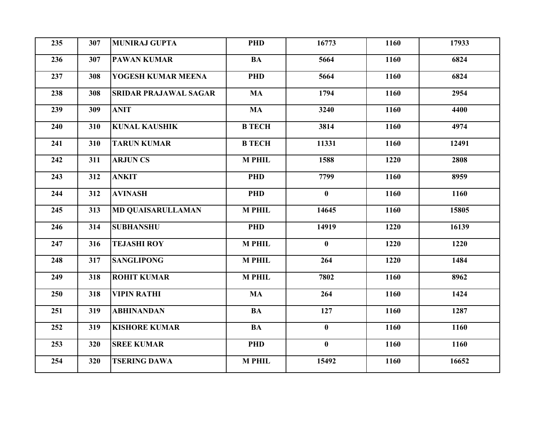| 235 | 307 | <b>MUNIRAJ GUPTA</b>         | <b>PHD</b>    | 16773        | 1160 | 17933 |
|-----|-----|------------------------------|---------------|--------------|------|-------|
| 236 | 307 | <b>PAWAN KUMAR</b>           | <b>BA</b>     | 5664         | 1160 | 6824  |
| 237 | 308 | YOGESH KUMAR MEENA           | <b>PHD</b>    | 5664         | 1160 | 6824  |
| 238 | 308 | <b>SRIDAR PRAJAWAL SAGAR</b> | <b>MA</b>     | 1794         | 1160 | 2954  |
| 239 | 309 | <b>ANIT</b>                  | <b>MA</b>     | 3240         | 1160 | 4400  |
| 240 | 310 | <b>KUNAL KAUSHIK</b>         | <b>B TECH</b> | 3814         | 1160 | 4974  |
| 241 | 310 | <b>TARUN KUMAR</b>           | <b>B TECH</b> | 11331        | 1160 | 12491 |
| 242 | 311 | <b>ARJUN CS</b>              | <b>M PHIL</b> | 1588         | 1220 | 2808  |
| 243 | 312 | <b>ANKIT</b>                 | <b>PHD</b>    | 7799         | 1160 | 8959  |
| 244 | 312 | <b>AVINASH</b>               | <b>PHD</b>    | $\bf{0}$     | 1160 | 1160  |
| 245 | 313 | <b>MD QUAISARULLAMAN</b>     | <b>M PHIL</b> | 14645        | 1160 | 15805 |
| 246 | 314 | <b>SUBHANSHU</b>             | <b>PHD</b>    | 14919        | 1220 | 16139 |
| 247 | 316 | <b>TEJASHI ROY</b>           | <b>M PHIL</b> | $\mathbf{0}$ | 1220 | 1220  |
| 248 | 317 | <b>SANGLIPONG</b>            | <b>M PHIL</b> | 264          | 1220 | 1484  |
| 249 | 318 | <b>ROHIT KUMAR</b>           | <b>M PHIL</b> | 7802         | 1160 | 8962  |
| 250 | 318 | <b>VIPIN RATHI</b>           | <b>MA</b>     | 264          | 1160 | 1424  |
| 251 | 319 | <b>ABHINANDAN</b>            | <b>BA</b>     | 127          | 1160 | 1287  |
| 252 | 319 | <b>KISHORE KUMAR</b>         | <b>BA</b>     | $\bf{0}$     | 1160 | 1160  |
| 253 | 320 | <b>SREE KUMAR</b>            | <b>PHD</b>    | $\bf{0}$     | 1160 | 1160  |
| 254 | 320 | <b>TSERING DAWA</b>          | <b>M PHIL</b> | 15492        | 1160 | 16652 |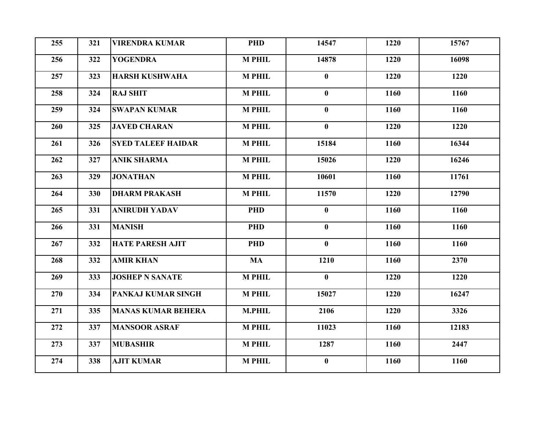| 255 | 321 | <b>VIRENDRA KUMAR</b>     | <b>PHD</b>    | 14547        | 1220 | 15767 |
|-----|-----|---------------------------|---------------|--------------|------|-------|
| 256 | 322 | <b>YOGENDRA</b>           | <b>M PHIL</b> | 14878        | 1220 | 16098 |
| 257 | 323 | <b>HARSH KUSHWAHA</b>     | <b>M PHIL</b> | $\bf{0}$     | 1220 | 1220  |
| 258 | 324 | <b>RAJ SHIT</b>           | <b>M PHIL</b> | $\mathbf{0}$ | 1160 | 1160  |
| 259 | 324 | <b>SWAPAN KUMAR</b>       | <b>M PHIL</b> | $\mathbf{0}$ | 1160 | 1160  |
| 260 | 325 | <b>JAVED CHARAN</b>       | <b>M PHIL</b> | $\bf{0}$     | 1220 | 1220  |
| 261 | 326 | <b>SYED TALEEF HAIDAR</b> | <b>M PHIL</b> | 15184        | 1160 | 16344 |
| 262 | 327 | <b>ANIK SHARMA</b>        | <b>M PHIL</b> | 15026        | 1220 | 16246 |
| 263 | 329 | <b>JONATHAN</b>           | <b>M PHIL</b> | 10601        | 1160 | 11761 |
| 264 | 330 | <b>DHARM PRAKASH</b>      | <b>M PHIL</b> | 11570        | 1220 | 12790 |
| 265 | 331 | <b>ANIRUDH YADAV</b>      | <b>PHD</b>    | $\bf{0}$     | 1160 | 1160  |
| 266 | 331 | <b>MANISH</b>             | <b>PHD</b>    | $\bf{0}$     | 1160 | 1160  |
| 267 | 332 | <b>HATE PARESH AJIT</b>   | <b>PHD</b>    | $\bf{0}$     | 1160 | 1160  |
| 268 | 332 | <b>AMIR KHAN</b>          | <b>MA</b>     | 1210         | 1160 | 2370  |
| 269 | 333 | <b>JOSHEP N SANATE</b>    | <b>M PHIL</b> | $\mathbf{0}$ | 1220 | 1220  |
| 270 | 334 | PANKAJ KUMAR SINGH        | <b>M PHIL</b> | 15027        | 1220 | 16247 |
| 271 | 335 | <b>MANAS KUMAR BEHERA</b> | <b>M.PHIL</b> | 2106         | 1220 | 3326  |
| 272 | 337 | <b>MANSOOR ASRAF</b>      | <b>M PHIL</b> | 11023        | 1160 | 12183 |
| 273 | 337 | <b>MUBASHIR</b>           | <b>M PHIL</b> | 1287         | 1160 | 2447  |
| 274 | 338 | <b>AJIT KUMAR</b>         | <b>M PHIL</b> | $\mathbf{0}$ | 1160 | 1160  |